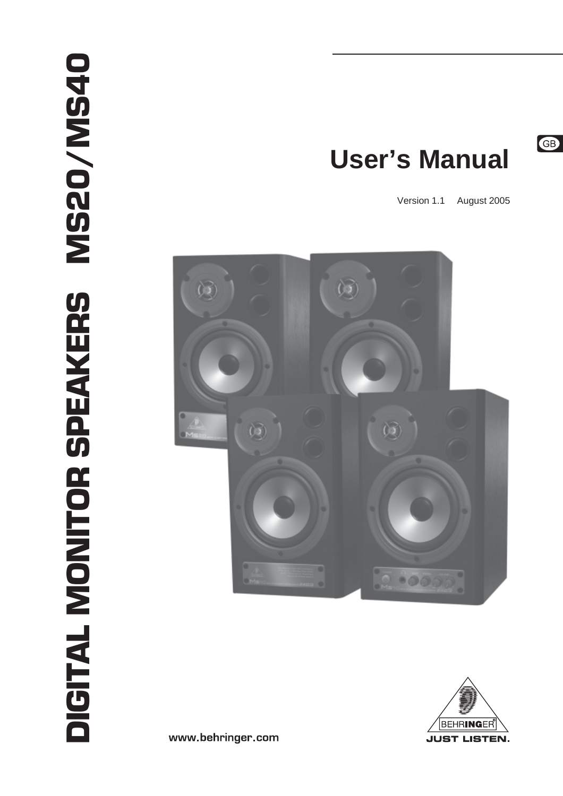# **User's Manual**

Version 1.1 August 2005





www.behringer.com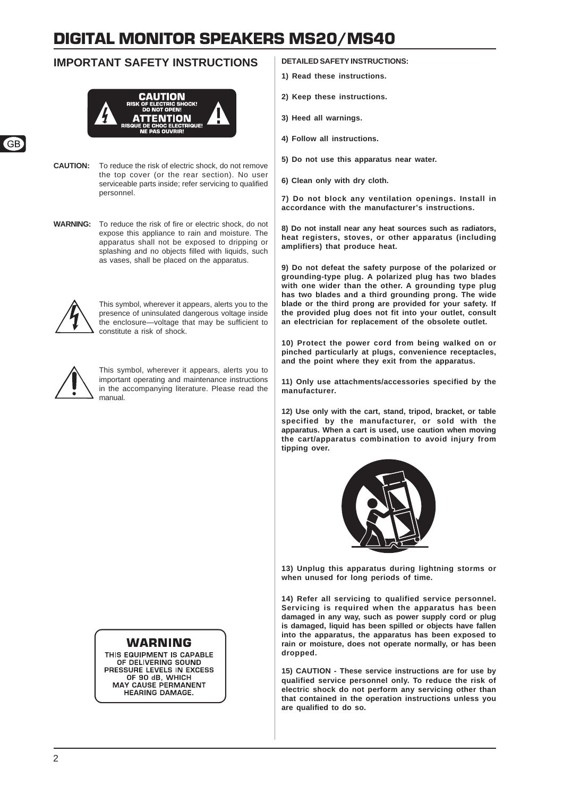### **IMPORTANT SAFETY INSTRUCTIONS**



**CAUTION:** To reduce the risk of electric shock, do not remove the top cover (or the rear section). No user serviceable parts inside; refer servicing to qualified personnel.

**WARNING:** To reduce the risk of fire or electric shock, do not expose this appliance to rain and moisture. The apparatus shall not be exposed to dripping or splashing and no objects filled with liquids, such as vases, shall be placed on the apparatus.



This symbol, wherever it appears, alerts you to the presence of uninsulated dangerous voltage inside the enclosure—voltage that may be sufficient to constitute a risk of shock.



This symbol, wherever it appears, alerts you to important operating and maintenance instructions in the accompanying literature. Please read the manual.

### **WARNING**

THIS EQUIPMENT IS CAPABLE OF DELIVERING SOUND **PRESSURE LEVELS IN EXCESS<br>
OF 90 dB, WHICH** MAY CAUSE PERMANENT **HEARING DAMAGE.** 

### **DETAILED SAFETY INSTRUCTIONS:**

- **1) Read these instructions.**
- **2) Keep these instructions.**
- **3) Heed all warnings.**
- **4) Follow all instructions.**
- **5) Do not use this apparatus near water.**
- **6) Clean only with dry cloth.**

**7) Do not block any ventilation openings. Install in accordance with the manufacturer's instructions.**

**8) Do not install near any heat sources such as radiators, heat registers, stoves, or other apparatus (including amplifiers) that produce heat.**

**9) Do not defeat the safety purpose of the polarized or grounding-type plug. A polarized plug has two blades with one wider than the other. A grounding type plug has two blades and a third grounding prong. The wide blade or the third prong are provided for your safety. If the provided plug does not fit into your outlet, consult an electrician for replacement of the obsolete outlet.**

**10) Protect the power cord from being walked on or pinched particularly at plugs, convenience receptacles, and the point where they exit from the apparatus.**

**11) Only use attachments/accessories specified by the manufacturer.**

**12) Use only with the cart, stand, tripod, bracket, or table specified by the manufacturer, or sold with the apparatus. When a cart is used, use caution when moving the cart/apparatus combination to avoid injury from tipping over.**



**13) Unplug this apparatus during lightning storms or when unused for long periods of time.**

**14) Refer all servicing to qualified service personnel. Servicing is required when the apparatus has been damaged in any way, such as power supply cord or plug is damaged, liquid has been spilled or objects have fallen into the apparatus, the apparatus has been exposed to rain or moisture, does not operate normally, or has been dropped.**

**15) CAUTION - These service instructions are for use by qualified service personnel only. To reduce the risk of electric shock do not perform any servicing other than that contained in the operation instructions unless you are qualified to do so.**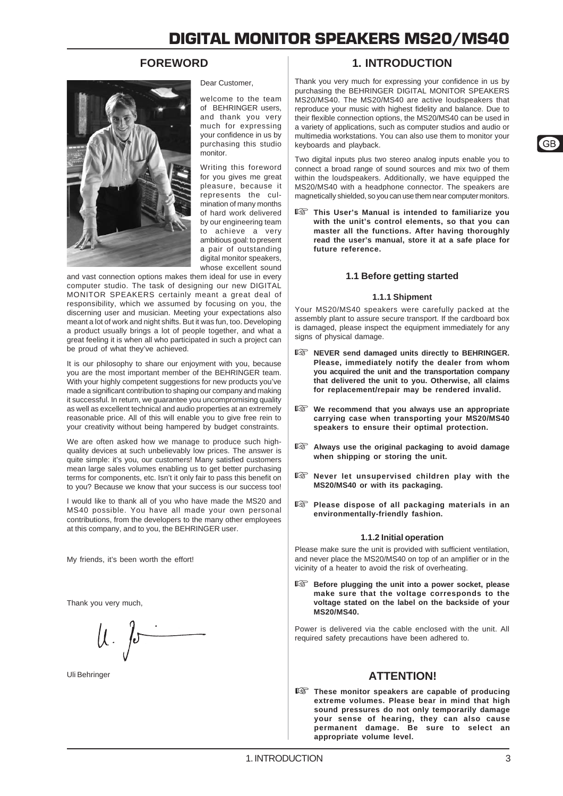### **FOREWORD**



Dear Customer,

welcome to the team of BEHRINGER users, and thank you very much for expressing your confidence in us by purchasing this studio monitor.

Writing this foreword for you gives me great pleasure, because it represents the culmination of many months of hard work delivered by our engineering team to achieve a very ambitious goal: to present a pair of outstanding digital monitor speakers. whose excellent sound

and vast connection options makes them ideal for use in every computer studio. The task of designing our new DIGITAL MONITOR SPEAKERS certainly meant a great deal of responsibility, which we assumed by focusing on you, the discerning user and musician. Meeting your expectations also meant a lot of work and night shifts. But it was fun, too. Developing a product usually brings a lot of people together, and what a great feeling it is when all who participated in such a project can be proud of what they've achieved.

It is our philosophy to share our enjoyment with you, because you are the most important member of the BEHRINGER team. With your highly competent suggestions for new products you've made a significant contribution to shaping our company and making it successful. In return, we guarantee you uncompromising quality as well as excellent technical and audio properties at an extremely reasonable price. All of this will enable you to give free rein to your creativity without being hampered by budget constraints.

We are often asked how we manage to produce such highquality devices at such unbelievably low prices. The answer is quite simple: it's you, our customers! Many satisfied customers mean large sales volumes enabling us to get better purchasing terms for components, etc. Isn't it only fair to pass this benefit on to you? Because we know that your success is our success too!

I would like to thank all of you who have made the MS20 and MS40 possible. You have all made your own personal contributions, from the developers to the many other employees at this company, and to you, the BEHRINGER user.

My friends, it's been worth the effort!

Thank you very much,

 $\mu$  for

### **1. INTRODUCTION**

Thank you very much for expressing your confidence in us by purchasing the BEHRINGER DIGITAL MONITOR SPEAKERS MS20/MS40. The MS20/MS40 are active loudspeakers that reproduce your music with highest fidelity and balance. Due to their flexible connection options, the MS20/MS40 can be used in a variety of applications, such as computer studios and audio or multimedia workstations. You can also use them to monitor your keyboards and playback.

Two digital inputs plus two stereo analog inputs enable you to connect a broad range of sound sources and mix two of them within the loudspeakers. Additionally, we have equipped the MS20/MS40 with a headphone connector. The speakers are magnetically shielded, so you can use them near computer monitors.

 **This User's Manual is intended to familiarize you with the unit's control elements, so that you can master all the functions. After having thoroughly read the user's manual, store it at a safe place for future reference.**

### **1.1 Before getting started**

### **1.1.1 Shipment**

Your MS20/MS40 speakers were carefully packed at the assembly plant to assure secure transport. If the cardboard box is damaged, please inspect the equipment immediately for any signs of physical damage.

- **NEVER send damaged units directly to BEHRINGER. Please, immediately notify the dealer from whom you acquired the unit and the transportation company that delivered the unit to you. Otherwise, all claims for replacement/repair may be rendered invalid.**
- **We recommend that you always use an appropriate carrying case when transporting your MS20/MS40 speakers to ensure their optimal protection.**
- **Always use the original packaging to avoid damage when shipping or storing the unit.**
- **Never let unsupervised children play with the MS20/MS40 or with its packaging.**
- **Please dispose of all packaging materials in an environmentally-friendly fashion.**

### **1.1.2 Initial operation**

Please make sure the unit is provided with sufficient ventilation, and never place the MS20/MS40 on top of an amplifier or in the vicinity of a heater to avoid the risk of overheating.

**Before plugging the unit into a power socket, please make sure that the voltage corresponds to the voltage stated on the label on the backside of your MS20/MS40.**

Power is delivered via the cable enclosed with the unit. All required safety precautions have been adhered to.

### Uli Behringer **ATTENTION!**

 **These monitor speakers are capable of producing extreme volumes. Please bear in mind that high sound pressures do not only temporarily damage your sense of hearing, they can also cause permanent damage. Be sure to select an appropriate volume level.**

 $G$ B

3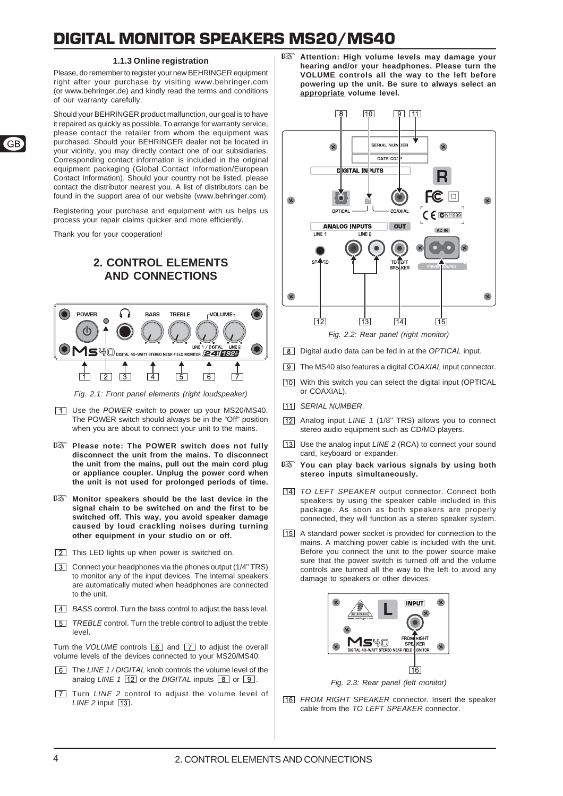### **1.1.3 Online registration**

Please, do remember to register your new BEHRINGER equipment right after your purchase by visiting www.behringer.com (or www.behringer.de) and kindly read the terms and conditions of our warranty carefully.

Should your BEHRINGER product malfunction, our goal is to have it repaired as quickly as possible. To arrange for warranty service, please contact the retailer from whom the equipment was purchased. Should your BEHRINGER dealer not be located in your vicinity, you may directly contact one of our subsidiaries. Corresponding contact information is included in the original equipment packaging (Global Contact Information/European Contact Information). Should your country not be listed, please contact the distributor nearest you. A list of distributors can be found in the support area of our website (www.behringer.com).

Registering your purchase and equipment with us helps us process your repair claims quicker and more efficiently.

Thank you for your cooperation!

### **2. CONTROL ELEMENTS AND CONNECTIONS**



*Fig. 2.1: Front panel elements (right loudspeaker)*

- Use the *POWER* switch to power up your MS20/MS40. The POWER switch should always be in the "Off" position when you are about to connect your unit to the mains.
- **Please note: The POWER switch does not fully disconnect the unit from the mains. To disconnect the unit from the mains, pull out the main cord plug or appliance coupler. Unplug the power cord when the unit is not used for prolonged periods of time.**
- **Monitor speakers should be the last device in the signal chain to be switched on and the first to be switched off. This way, you avoid speaker damage caused by loud crackling noises during turning other equipment in your studio on or off.**
- This LED lights up when power is switched on.
- Connect your headphones via the phones output (1/4" TRS) to monitor any of the input devices. The internal speakers are automatically muted when headphones are connected to the unit.
- *A BASS* control. Turn the bass control to adjust the bass level.
- *TREBLE* control. Turn the treble control to adjust the treble level.

Turn the *VOLUME* controls  $\boxed{6}$  and  $\boxed{7}$  to adjust the overall volume levels of the devices connected to your MS20/MS40:

- The *LINE 1 / DIGITAL* knob controls the volume level of the analog *LINE* 1  $\boxed{12}$  or the *DIGITAL* inputs  $\boxed{8}$  or  $\boxed{9}$ .
- **T** Turn *LINE* 2 control to adjust the volume level of *LINE 2* input  $\boxed{13}$ .

 **Attention: High volume levels may damage your hearing and/or your headphones. Please turn the VOLUME controls all the way to the left before powering up the unit. Be sure to always select an appropriate volume level.**



- Digital audio data can be fed in at the *OPTICAL* input.
- The MS40 also features a digital *COAXIAL* input connector.
- With this switch you can select the digital input (OPTICAL or COAXIAL).
- *SERIAL NUMBER*.
- Analog input *LINE 1* (1/8" TRS) allows you to connect stereo audio equipment such as CD/MD players.
- Use the analog input *LINE 2* (RCA) to connect your sound card, keyboard or expander.
- **You can play back various signals by using both stereo inputs simultaneously.**
- *TO LEFT SPEAKER* output connector. Connect both speakers by using the speaker cable included in this package. As soon as both speakers are properly connected, they will function as a stereo speaker system.
- A standard power socket is provided for connection to the mains. A matching power cable is included with the unit. Before you connect the unit to the power source make sure that the power switch is turned off and the volume controls are turned all the way to the left to avoid any damage to speakers or other devices.



*Fig. 2.3: Rear panel (left monitor)*

*FROM RIGHT SPEAKER* connector. Insert the speaker cable from the *TO LEFT SPEAKER* connector.

 $\overline{G}$ B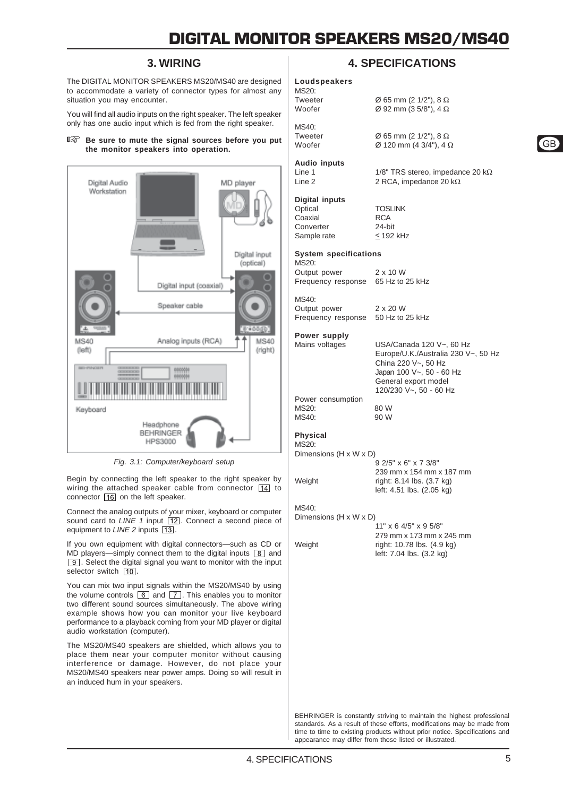### **3. WIRING**

The DIGITAL MONITOR SPEAKERS MS20/MS40 are designed to accommodate a variety of connector types for almost any situation you may encounter.

You will find all audio inputs on the right speaker. The left speaker only has one audio input which is fed from the right speaker.

#### **Be sure to mute the signal sources before you put the monitor speakers into operation.**



*Fig. 3.1: Computer/keyboard setup*

Begin by connecting the left speaker to the right speaker by wiring the attached speaker cable from connector  $\boxed{14}$  to connector  $\boxed{16}$  on the left speaker.

Connect the analog outputs of your mixer, keyboard or computer sound card to *LINE 1* input [12]. Connect a second piece of equipment to *LINE* 2 inputs [13].

If you own equipment with digital connectors—such as CD or MD players—simply connect them to the digital inputs  $\boxed{8}$  and **9.** Select the digital signal you want to monitor with the input selector switch  $\boxed{10}$ .

You can mix two input signals within the MS20/MS40 by using the volume controls  $\overline{6}$  and  $\overline{7}$ . This enables you to monitor two different sound sources simultaneously. The above wiring example shows how you can monitor your live keyboard performance to a playback coming from your MD player or digital audio workstation (computer).

The MS20/MS40 speakers are shielded, which allows you to place them near your computer monitor without causing interference or damage. However, do not place your MS20/MS40 speakers near power amps. Doing so will result in an induced hum in your speakers.

### **4. SPECIFICATIONS**

 $\varnothing$  92 mm (3 5/8"), 4  $\Omega$ 

2 RCA, impedance 20 kΩ

#### **Loudspeakers** MS20:

Tweeter  $\varnothing$  65 mm (2 1/2"), 8  $\Omega$ <br>Woofer  $\varnothing$  92 mm (3 5/8"). 4  $\Omega$ 

Tweeter  $\varnothing$  65 mm (2 1/2"), 8  $\Omega$ Woofer Ø 120 mm (4 3/4"), 4 Ω

**Audio inputs** Line 1 1/8" TRS stereo, impedance 20 kΩ<br>Line 2 2 RCA. impedance 20 kΩ

MS40:

**Digital inputs** Optical TOSLINK<br>Coaxial RCA

Converter

Coaxial RCA<br>Converter 24-bit Sample rate  $\leq 192$  kHz

### **System specifications**

MS20: Output power 2 x 10 W Frequency response 65 Hz to 25 kHz

 $MS40$ Output power 2 x 20 W

Frequency response 50 Hz to 25 kHz

### **Power supply**

Mains voltages USA/Canada 120 V~, 60 Hz Europe/U.K./Australia 230 V~, 50 Hz China 220 V~, 50 Hz Japan 100 V~, 50 - 60 Hz General export model  $120/230$  V $\approx$ , 50 - 60 Hz

Power consumption  $MS20$  80 W MS40: 90 W

#### **Physical**  $M$ S<sub>20</sub>:

Dimensions (H x W x D)

9 2/5" x 6" x 7 3/8" 239 mm x 154 mm x 187 mm Weight right: 8.14 lbs. (3.7 kg) left: 4.51 lbs. (2.05 kg)

### $MS40$

Dimensions (H x W x D)

11" x 6 4/5" x 9 5/8" 279 mm x 173 mm x 245 mm Weight right: 10.78 lbs. (4.9 kg) left: 7.04 lbs. (3.2 kg)

BEHRINGER is constantly striving to maintain the highest professional standards. As a result of these efforts, modifications may be made from time to time to existing products without prior notice. Specifications and appearance may differ from those listed or illustrated.